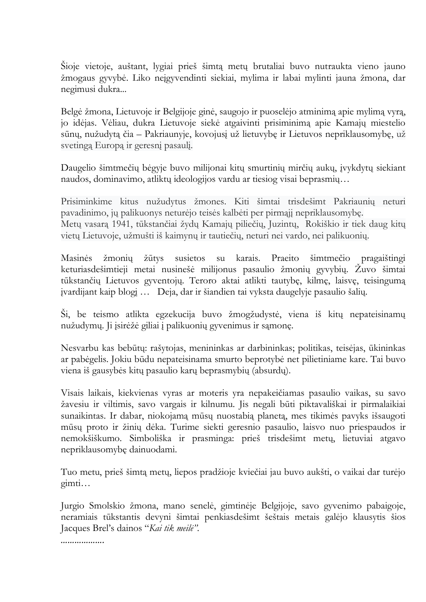Šioje vietoje, auštant, lygiai prieš šimtą metų brutaliai buvo nutraukta vieno jauno žmogaus gyvybė. Liko neįgyvendinti siekiai, mylima ir labai mylinti jauna žmona, dar negimusi dukra...

Belgė žmona, Lietuvoje ir Belgijoje ginė, saugojo ir puoselėjo atminimą apie mylimą vyrą, jo idėjas. Vėliau, dukra Lietuvoje siekė atgaivinti prisiminimą apie Kamajų miestelio sūnų, nužudytą čia – Pakriaunyje, kovojusį už lietuvybę ir Lietuvos nepriklausomybę, už svetingą Europą ir geresnį pasaulį.

Daugelio šimtmečių bėgyje buvo milijonai kitų smurtinių mirčių aukų, įvykdytų siekiant naudos, dominavimo, atliktų ideologijos vardu ar tiesiog visai beprasmių…

Prisiminkime kitus nužudytus žmones. Kiti šimtai trisdešimt Pakriaunių neturi pavadinimo, jų palikuonys neturėjo teisės kalbėti per pirmąjį nepriklausomybę. Metų vasarą 1941, tūkstančiai žydų Kamajų piliečių, Juzintų, Rokiškio ir tiek daug kitų vietų Lietuvoje, užmušti iš kaimynų ir tautiečių, neturi nei vardo, nei palikuonių.

Masinės žmonių žūtys susietos su karais. Praeito šimtmečio pragaištingi keturiasdešimtieji metai nusinešė milijonus pasaulio žmonių gyvybių. Žuvo šimtai tūkstančių Lietuvos gyventojų. Teroro aktai atlikti tautybę, kilmę, laisvę, teisingumą įvardijant kaip blogį … Deja, dar ir šiandien tai vyksta daugelyje pasaulio šalių.

Ši, be teismo atlikta egzekucija buvo žmogžudystė, viena iš kitų nepateisinamų nužudymų. Ji įsirėžė giliai į palikuonių gyvenimus ir sąmonę.

Nesvarbu kas bebūtų: rašytojas, menininkas ar darbininkas; politikas, teisėjas, ūkininkas ar pabėgelis. Jokiu būdu nepateisinama smurto beprotybė net pilietiniame kare. Tai buvo viena iš gausybės kitų pasaulio karų beprasmybių (absurdų).

Visais laikais, kiekvienas vyras ar moteris yra nepakeičiamas pasaulio vaikas, su savo ţavesiu ir viltimis, savo vargais ir kilnumu. Jis negali būti piktavališkai ir pirmalaikiai sunaikintas. Ir dabar, niokojamą mūsų nuostabią planetą, mes tikimės pavyks išsaugoti mūsų proto ir žinių dėka. Turime siekti geresnio pasaulio, laisvo nuo priespaudos ir nemokšiškumo. Simboliška ir prasminga: prieš trisdešimt metų, lietuviai atgavo nepriklausomybę dainuodami.

Tuo metu, prieš šimtą metų, liepos pradžioje kviečiai jau buvo aukšti, o vaikai dar turėjo gimti…

Jurgio Smolskio žmona, mano senelė, gimtinėje Belgijoje, savo gyvenimo pabaigoje, neramiais tūkstantis devyni šimtai penkiasdešimt šeštais metais galėjo klausytis šios Jacques Brel's dainos "*Kai tik meilė".*

*……………….*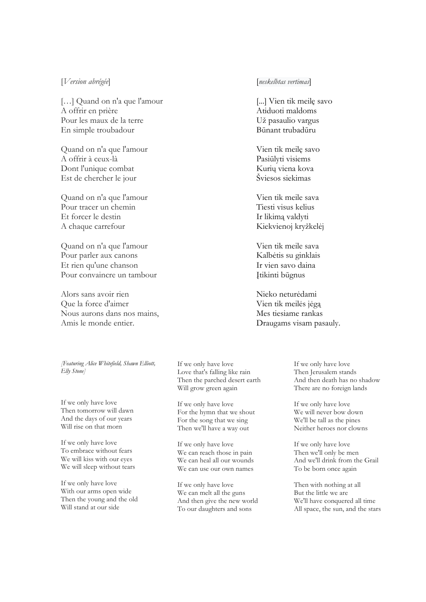## [*Version abrégée*]

[...] Quand on n'a que l'amour A offrir en prière Pour les maux de la terre En simple troubadour

Quand on n'a que l'amour A offrir à ceux-là Dont l'unique combat Est de chercher le jour

Quand on n'a que l'amour Pour tracer un chemin Et forcer le destin A chaque carrefour

Quand on n'a que l'amour Pour parler aux canons Et rien qu'une chanson Pour convaincre un tambour

Alors sans avoir rien Que la force d'aimer Nous aurons dans nos mains, Amis le monde entier.

*[Featuring Alice [Whitefield,](https://genius.com/artists/Alice-whitefield) Shawn [Elliott,](https://genius.com/artists/Shawn-elliott) Elly [Stone\]](https://genius.com/artists/Elly-stone)*

If we only have love Then tomorrow will dawn And the days of our years Will rise on that morn

If we only have love To embrace without fears We will kiss with our eyes We will sleep without tears

If we only have love With our arms open wide Then the young and the old Will stand at our side

If we only have love Love that's falling like rain Then the parched desert earth Will grow green again

If we only have love For the hymn that we shout For the song that we sing Then we'll have a way out

If we only have love We can reach those in pain We can heal all our wounds We can use our own names

If we only have love We can melt all the guns And then give the new world To our daughters and sons

## [*neskelbtas vertimas*]

[...] Vien tik meilę savo Atiduoti maldoms Už pasaulio vargus Būnant trubadūru

Vien tik meilę savo Pasiūlyti visiems Kurių viena kova Šviesos siekimas

Vien tik meile sava Tiesti visus kelius Ir likimą valdyti Kiekvienoj kryžkelėj

Vien tik meile sava Kalbėtis su ginklais Ir vien savo daina Įtikinti būgnus

Nieko neturėdami Vien tik meilės jėgą Mes tiesiame rankas Draugams visam pasauly.

> If we only have love Then Jerusalem stands And then death has no shadow There are no foreign lands

If we only have love We will never bow down We'll be tall as the pines Neither heroes nor clowns

If we only have love Then we'll only be men And we'll drink from the Grail To be born once again

Then with nothing at all But the little we are We'll have conquered all time All space, the sun, and the stars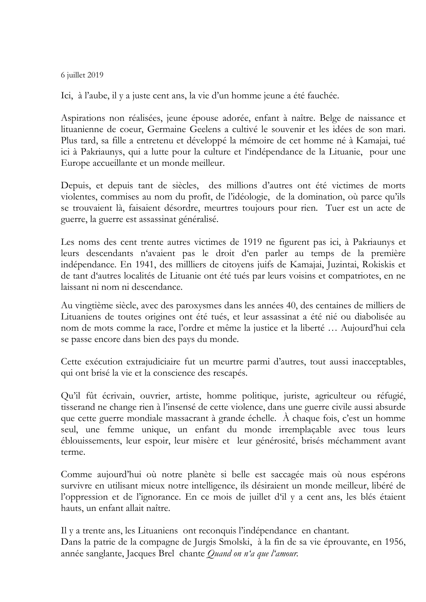6 juillet 2019

Ici, à l'aube, il y a juste cent ans, la vie d'un homme jeune a été fauchée.

Aspirations non réalisées, jeune épouse adorée, enfant à naître. Belge de naissance et lituanienne de coeur, Germaine Geelens a cultivé le souvenir et les idées de son mari. Plus tard, sa fille a entretenu et développé la mémoire de cet homme né à Kamajai, tué ici à Pakriaunys, qui a lutte pour la culture et l'indépendance de la Lituanie, pour une Europe accueillante et un monde meilleur.

Depuis, et depuis tant de siècles, des millions d'autres ont été victimes de morts violentes, commises au nom du profit, de l'idéologie, de la domination, où parce qu'ils se trouvaient là, faisaient désordre, meurtres toujours pour rien. Tuer est un acte de guerre, la guerre est assassinat généralisé.

Les noms des cent trente autres victimes de 1919 ne figurent pas ici, à Pakriaunys et leurs descendants n'avaient pas le droit d'en parler au temps de la première indépendance. En 1941, des millliers de citoyens juifs de Kamajai, Juzintai, Rokiskis et de tant d'autres localités de Lituanie ont été tués par leurs voisins et compatriotes, en ne laissant ni nom ni descendance.

Au vingtième siècle, avec des paroxysmes dans les années 40, des centaines de milliers de Lituaniens de toutes origines ont été tués, et leur assassinat a été nié ou diabolisée au nom de mots comme la race, l'ordre et même la justice et la liberté … Aujourd'hui cela se passe encore dans bien des pays du monde.

Cette exécution extrajudiciaire fut un meurtre parmi d'autres, tout aussi inacceptables, qui ont brisé la vie et la conscience des rescapés.

Qu'il fût écrivain, ouvrier, artiste, homme politique, juriste, agriculteur ou réfugié, tisserand ne change rien à l'insensé de cette violence, dans une guerre civile aussi absurde que cette guerre mondiale massacrant à grande échelle. À chaque fois, c'est un homme seul, une femme unique, un enfant du monde irremplaçable avec tous leurs éblouissements, leur espoir, leur misère et leur générosité, brisés méchamment avant terme.

Comme aujourd'hui où notre planète si belle est saccagée mais où nous espérons survivre en utilisant mieux notre intelligence, ils désiraient un monde meilleur, libéré de l'oppression et de l'ignorance. En ce mois de juillet d'il y a cent ans, les blés étaient hauts, un enfant allait naître.

Il y a trente ans, les Lituaniens ont reconquis l'indépendance en chantant. Dans la patrie de la compagne de Jurgis Smolski, à la fin de sa vie éprouvante, en 1956, année sanglante, Jacques Brel chante *Quand on n'a que l'amour.*